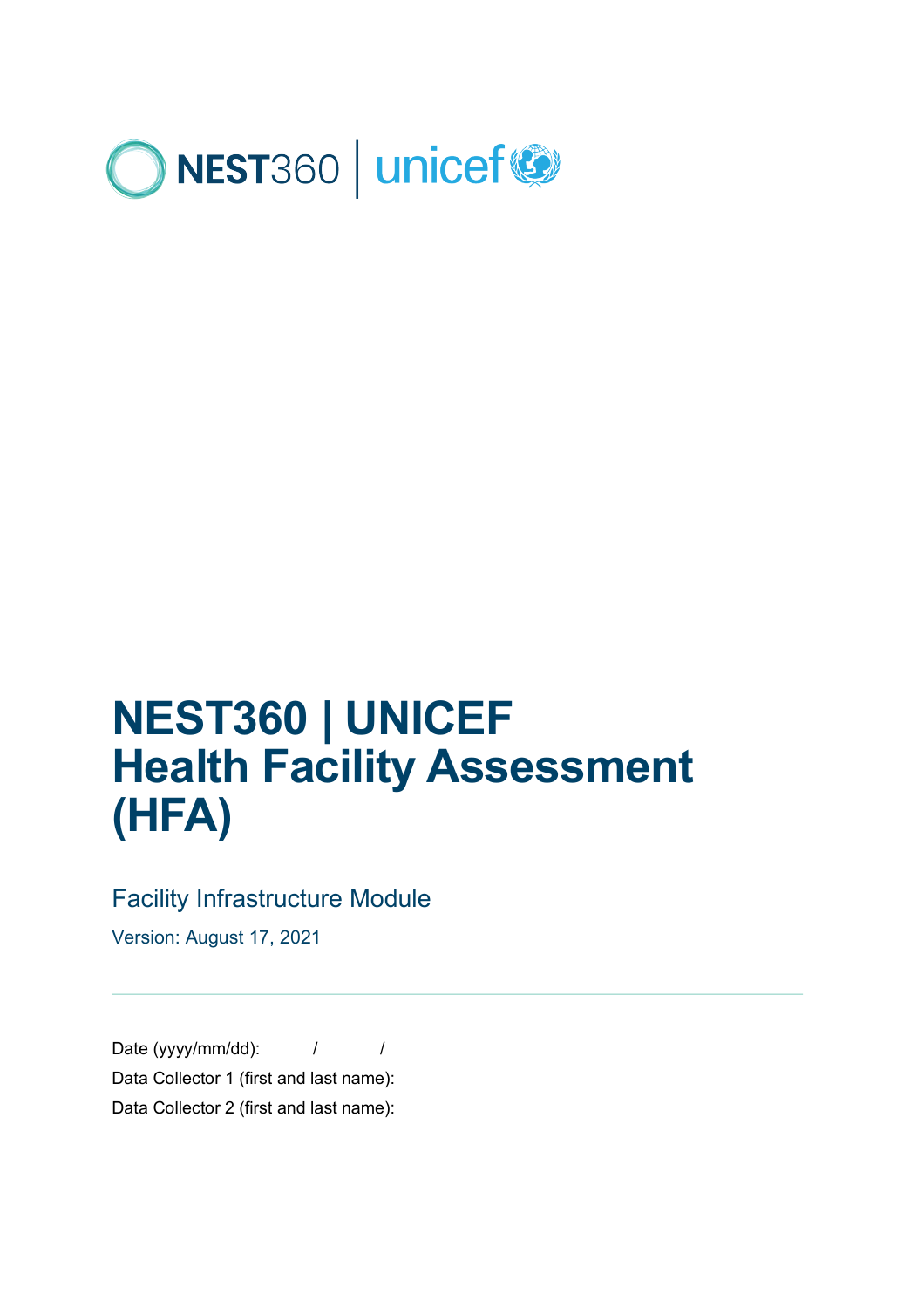

# **NEST360 | UNICEF Health Facility Assessment (HFA)**

### Facility Infrastructure Module

Version: August 17, 2021

Date (yyyy/mm/dd):  $\frac{1}{2}$  / Data Collector 1 (first and last name): Data Collector 2 (first and last name):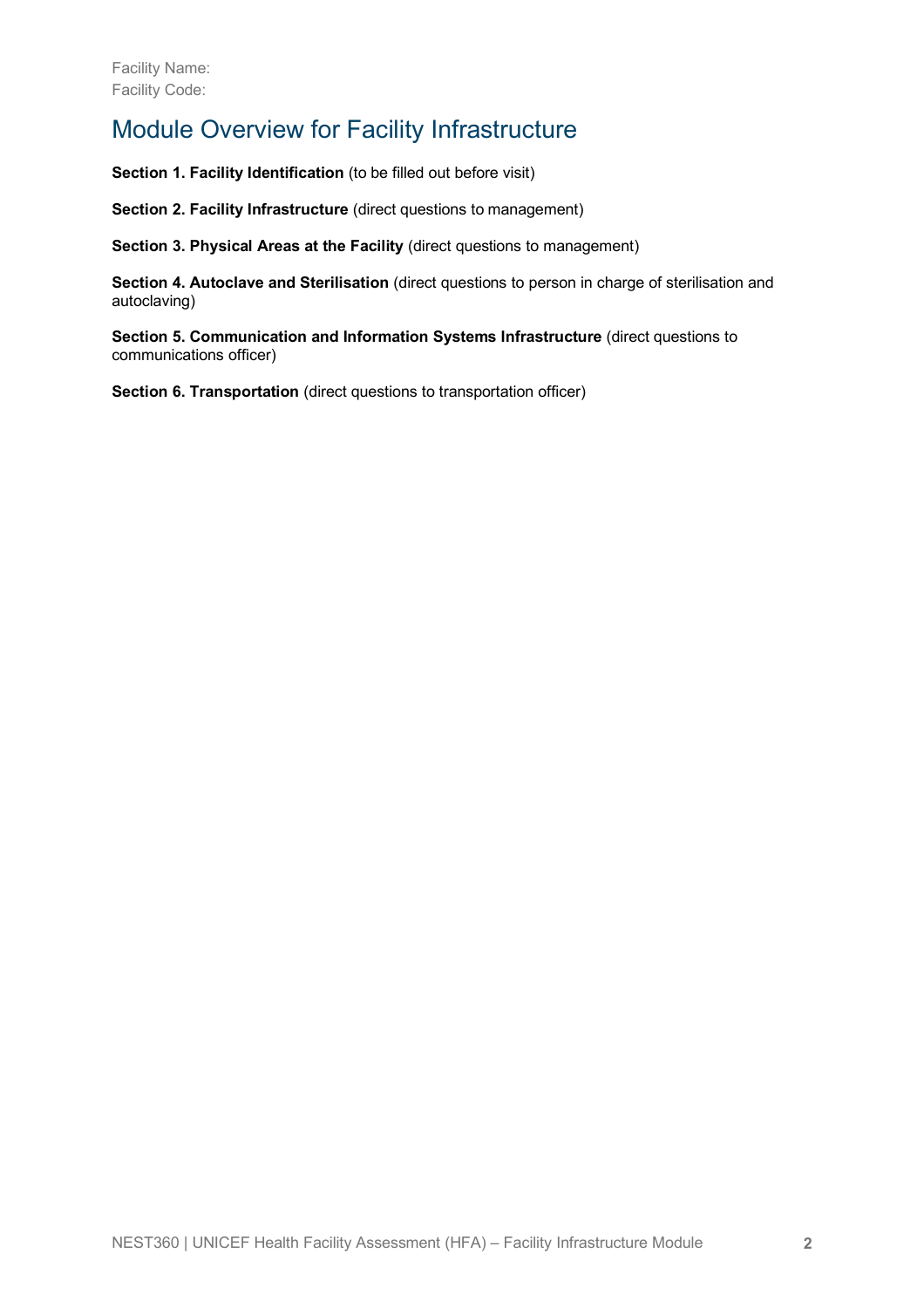### Module Overview for Facility Infrastructure

**Section 1. Facility Identification** (to be filled out before visit)

**Section 2. Facility Infrastructure** (direct questions to management)

**Section 3. Physical Areas at the Facility** (direct questions to management)

**Section 4. Autoclave and Sterilisation** (direct questions to person in charge of sterilisation and autoclaving)

**Section 5. Communication and Information Systems Infrastructure** (direct questions to communications officer)

**Section 6. Transportation** (direct questions to transportation officer)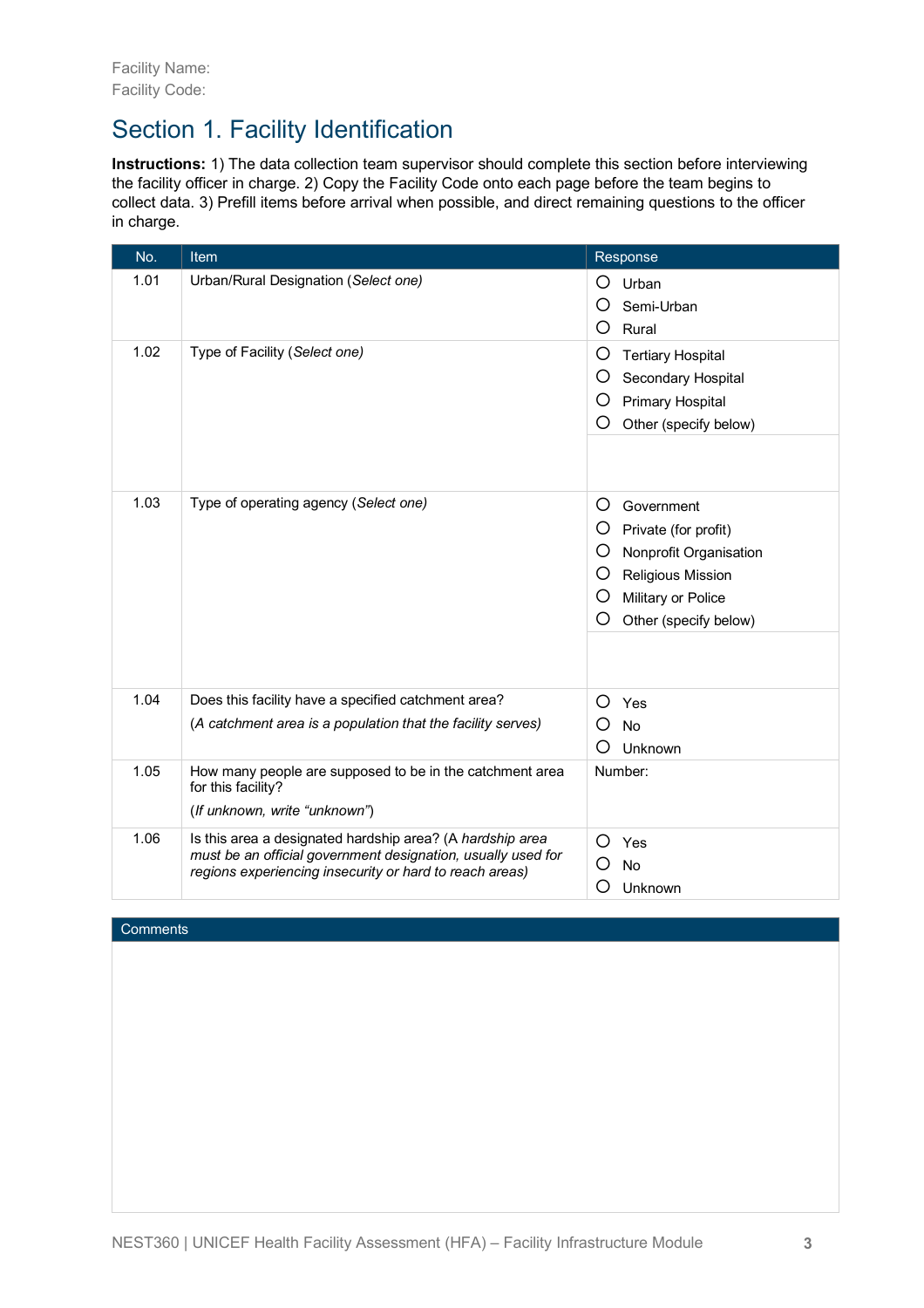### Section 1. Facility Identification

**Instructions:** 1) The data collection team supervisor should complete this section before interviewing the facility officer in charge. 2) Copy the Facility Code onto each page before the team begins to collect data. 3) Prefill items before arrival when possible, and direct remaining questions to the officer in charge.

| No.  | <b>Item</b>                                                                                                                                                                          | Response                                                                                                                                                       |
|------|--------------------------------------------------------------------------------------------------------------------------------------------------------------------------------------|----------------------------------------------------------------------------------------------------------------------------------------------------------------|
| 1.01 | Urban/Rural Designation (Select one)                                                                                                                                                 | O<br>Urban<br>O<br>Semi-Urban<br>O<br>Rural                                                                                                                    |
| 1.02 | Type of Facility (Select one)                                                                                                                                                        | O<br><b>Tertiary Hospital</b><br>O<br>Secondary Hospital<br>O<br>Primary Hospital<br>O<br>Other (specify below)                                                |
| 1.03 | Type of operating agency (Select one)                                                                                                                                                | O<br>Government<br>O<br>Private (for profit)<br>O<br>Nonprofit Organisation<br>O<br>Religious Mission<br>O<br>Military or Police<br>O<br>Other (specify below) |
| 1.04 | Does this facility have a specified catchment area?<br>(A catchment area is a population that the facility serves)                                                                   | O<br>Yes<br>O<br><b>No</b><br>O<br>Unknown                                                                                                                     |
| 1.05 | How many people are supposed to be in the catchment area<br>for this facility?<br>(If unknown, write "unknown")                                                                      | Number:                                                                                                                                                        |
| 1.06 | Is this area a designated hardship area? (A hardship area<br>must be an official government designation, usually used for<br>regions experiencing insecurity or hard to reach areas) | Ω<br>Yes<br><b>No</b><br>O<br>Ω<br>Unknown                                                                                                                     |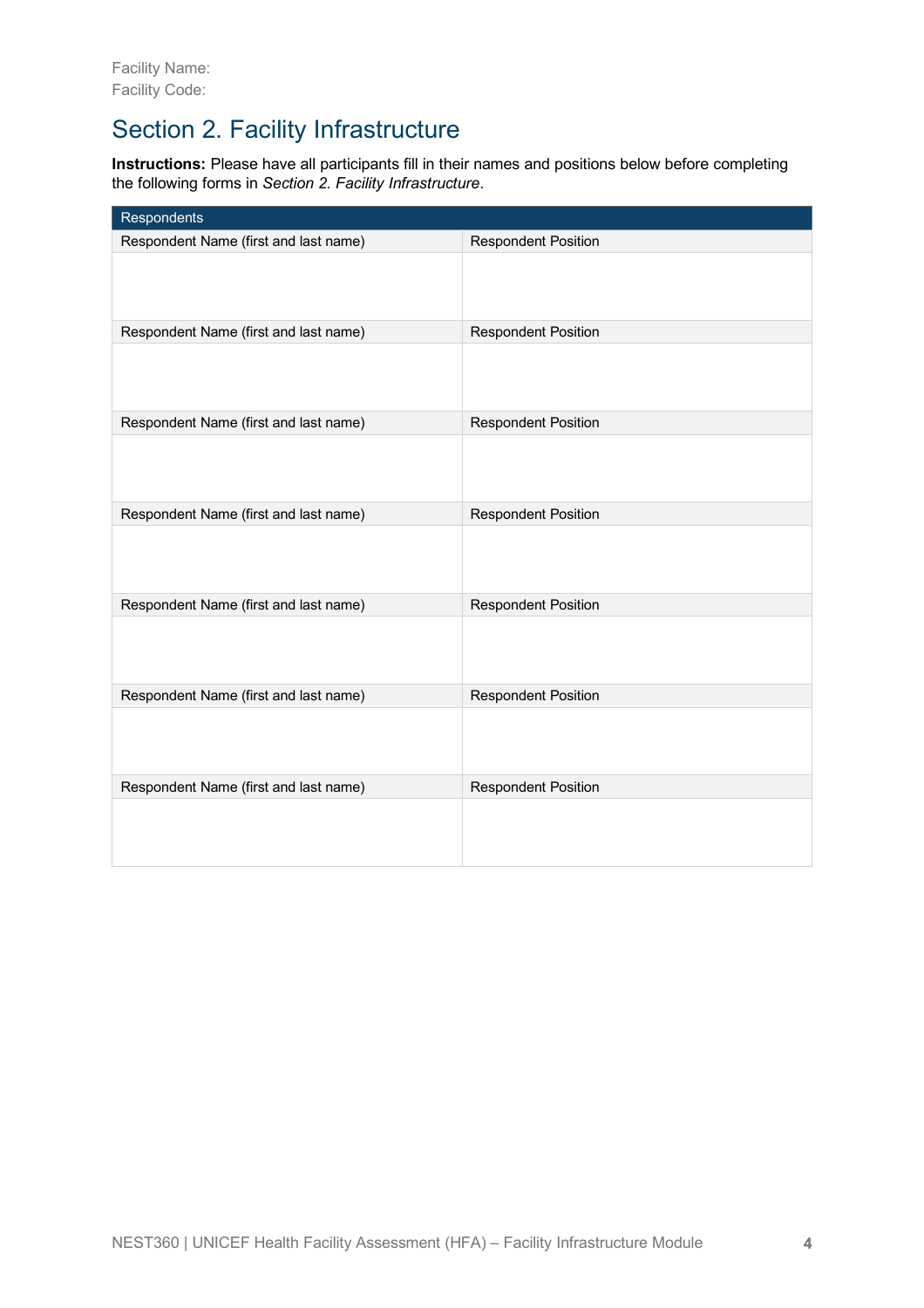# Section 2. Facility Infrastructure

**Instructions:** Please have all participants fill in their names and positions below before completing the following forms in *Section 2. Facility Infrastructure*.

| Respondents                           |                            |
|---------------------------------------|----------------------------|
| Respondent Name (first and last name) | <b>Respondent Position</b> |
|                                       |                            |
| Respondent Name (first and last name) | <b>Respondent Position</b> |
|                                       |                            |
| Respondent Name (first and last name) | <b>Respondent Position</b> |
|                                       |                            |
| Respondent Name (first and last name) | <b>Respondent Position</b> |
|                                       |                            |
| Respondent Name (first and last name) | <b>Respondent Position</b> |
|                                       |                            |
| Respondent Name (first and last name) | <b>Respondent Position</b> |
|                                       |                            |
| Respondent Name (first and last name) | <b>Respondent Position</b> |
|                                       |                            |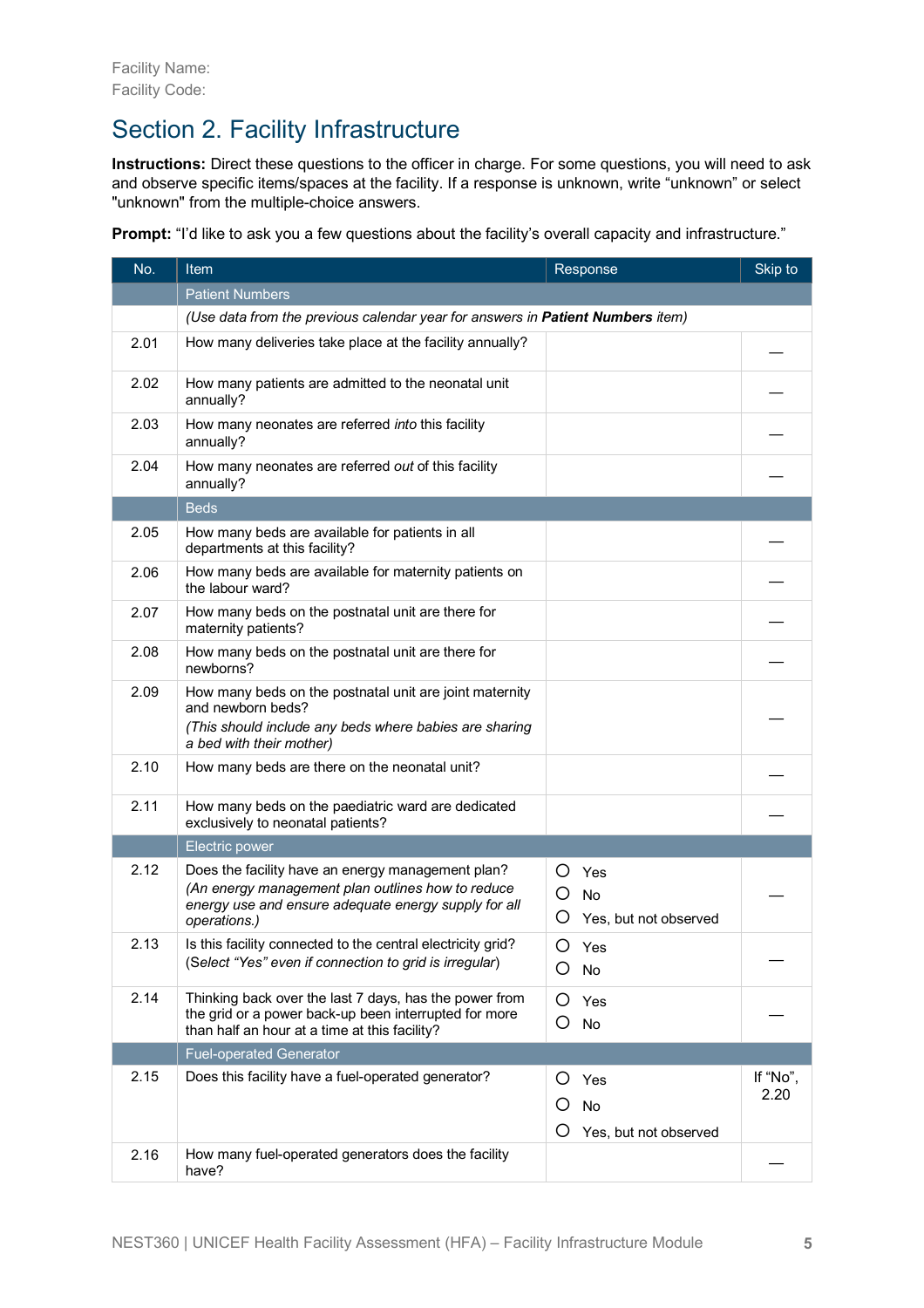# Section 2. Facility Infrastructure

**Instructions:** Direct these questions to the officer in charge. For some questions, you will need to ask and observe specific items/spaces at the facility. If a response is unknown, write "unknown" or select "unknown" from the multiple-choice answers.

**Prompt:** "I'd like to ask you a few questions about the facility's overall capacity and infrastructure."

| No.  | <b>Item</b>                                                                                                                                                                    | Response                                          | Skip to  |
|------|--------------------------------------------------------------------------------------------------------------------------------------------------------------------------------|---------------------------------------------------|----------|
|      | <b>Patient Numbers</b>                                                                                                                                                         |                                                   |          |
|      | (Use data from the previous calendar year for answers in Patient Numbers item)                                                                                                 |                                                   |          |
| 2.01 | How many deliveries take place at the facility annually?                                                                                                                       |                                                   |          |
| 2.02 | How many patients are admitted to the neonatal unit<br>annually?                                                                                                               |                                                   |          |
| 2.03 | How many neonates are referred into this facility<br>annually?                                                                                                                 |                                                   |          |
| 2.04 | How many neonates are referred out of this facility<br>annually?                                                                                                               |                                                   |          |
|      | <b>Beds</b>                                                                                                                                                                    |                                                   |          |
| 2.05 | How many beds are available for patients in all<br>departments at this facility?                                                                                               |                                                   |          |
| 2.06 | How many beds are available for maternity patients on<br>the labour ward?                                                                                                      |                                                   |          |
| 2.07 | How many beds on the postnatal unit are there for<br>maternity patients?                                                                                                       |                                                   |          |
| 2.08 | How many beds on the postnatal unit are there for<br>newborns?                                                                                                                 |                                                   |          |
| 2.09 | How many beds on the postnatal unit are joint maternity<br>and newborn beds?<br>(This should include any beds where babies are sharing<br>a bed with their mother)             |                                                   |          |
| 2.10 | How many beds are there on the neonatal unit?                                                                                                                                  |                                                   |          |
| 2.11 | How many beds on the paediatric ward are dedicated<br>exclusively to neonatal patients?                                                                                        |                                                   |          |
|      | Electric power                                                                                                                                                                 |                                                   |          |
| 2.12 | Does the facility have an energy management plan?<br>(An energy management plan outlines how to reduce<br>energy use and ensure adequate energy supply for all<br>operations.) | O<br>Yes<br>O<br>No<br>O<br>Yes, but not observed |          |
| 2.13 | Is this facility connected to the central electricity grid?<br>(Select "Yes" even if connection to grid is irregular)                                                          | O<br>Yes<br>Ο<br>No                               |          |
| 2.14 | Thinking back over the last 7 days, has the power from<br>the grid or a power back-up been interrupted for more<br>than half an hour at a time at this facility?               | Ο<br>Yes<br>O<br>No                               |          |
|      | <b>Fuel-operated Generator</b>                                                                                                                                                 |                                                   |          |
| 2.15 | Does this facility have a fuel-operated generator?                                                                                                                             | Ő<br>Yes                                          | If "No", |
|      |                                                                                                                                                                                | Ő<br>No                                           | 2.20     |
|      |                                                                                                                                                                                | O<br>Yes, but not observed                        |          |
| 2.16 | How many fuel-operated generators does the facility<br>have?                                                                                                                   |                                                   |          |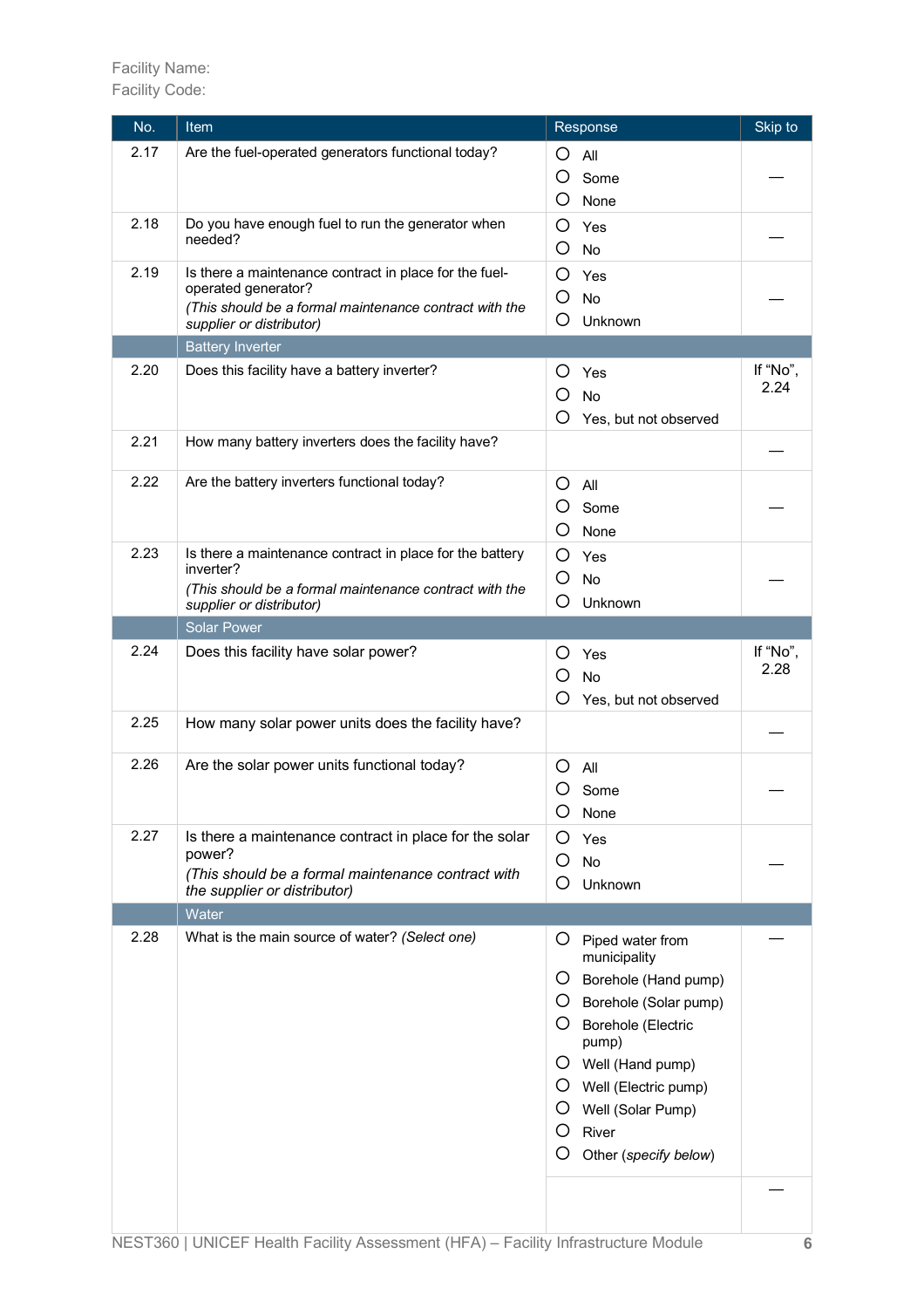| No.  | Item                                                                               | Response                         | Skip to  |
|------|------------------------------------------------------------------------------------|----------------------------------|----------|
| 2.17 | Are the fuel-operated generators functional today?                                 | O<br>All                         |          |
|      |                                                                                    | O<br>Some                        |          |
|      |                                                                                    | O<br>None                        |          |
| 2.18 | Do you have enough fuel to run the generator when                                  | O<br>Yes                         |          |
|      | needed?                                                                            | O<br>No                          |          |
| 2.19 | Is there a maintenance contract in place for the fuel-                             | O<br>Yes                         |          |
|      | operated generator?                                                                | O<br>No                          |          |
|      | (This should be a formal maintenance contract with the<br>supplier or distributor) | O<br>Unknown                     |          |
|      | <b>Battery Inverter</b>                                                            |                                  |          |
| 2.20 | Does this facility have a battery inverter?                                        |                                  | If "No", |
|      |                                                                                    | O<br>Yes                         | 2.24     |
|      |                                                                                    | O<br><b>No</b>                   |          |
|      |                                                                                    | O<br>Yes, but not observed       |          |
| 2.21 | How many battery inverters does the facility have?                                 |                                  |          |
| 2.22 | Are the battery inverters functional today?                                        | O<br>All                         |          |
|      |                                                                                    | O<br>Some                        |          |
|      |                                                                                    | O<br>None                        |          |
| 2.23 | Is there a maintenance contract in place for the battery                           | O<br>Yes                         |          |
|      | inverter?                                                                          | O<br><b>No</b>                   |          |
|      | (This should be a formal maintenance contract with the<br>supplier or distributor) | O<br>Unknown                     |          |
|      | <b>Solar Power</b>                                                                 |                                  |          |
| 2.24 | Does this facility have solar power?                                               |                                  | If "No", |
|      |                                                                                    | Ő<br>Yes                         | 2.28     |
|      |                                                                                    | O<br><b>No</b>                   |          |
|      |                                                                                    | O<br>Yes, but not observed       |          |
| 2.25 | How many solar power units does the facility have?                                 |                                  |          |
| 2.26 | Are the solar power units functional today?                                        | O<br>All                         |          |
|      |                                                                                    | Ő<br>Some                        |          |
|      |                                                                                    | Ő<br>None                        |          |
| 2.27 | Is there a maintenance contract in place for the solar                             | O<br>Yes                         |          |
|      | power?                                                                             | O<br><b>No</b>                   |          |
|      | (This should be a formal maintenance contract with<br>the supplier or distributor) | O<br>Unknown                     |          |
|      | Water                                                                              |                                  |          |
| 2.28 | What is the main source of water? (Select one)                                     | Ő                                |          |
|      |                                                                                    | Piped water from<br>municipality |          |
|      |                                                                                    | Borehole (Hand pump)<br>Ő        |          |
|      |                                                                                    | O Borehole (Solar pump)          |          |
|      |                                                                                    | O Borehole (Electric             |          |
|      |                                                                                    | pump)                            |          |
|      |                                                                                    | Well (Hand pump)<br>Ő            |          |
|      |                                                                                    | Well (Electric pump)<br>Ő        |          |
|      |                                                                                    | Ő<br>Well (Solar Pump)           |          |
|      |                                                                                    | O<br>River                       |          |
|      |                                                                                    | O<br>Other (specify below)       |          |
|      |                                                                                    |                                  |          |
|      |                                                                                    |                                  |          |
|      |                                                                                    |                                  |          |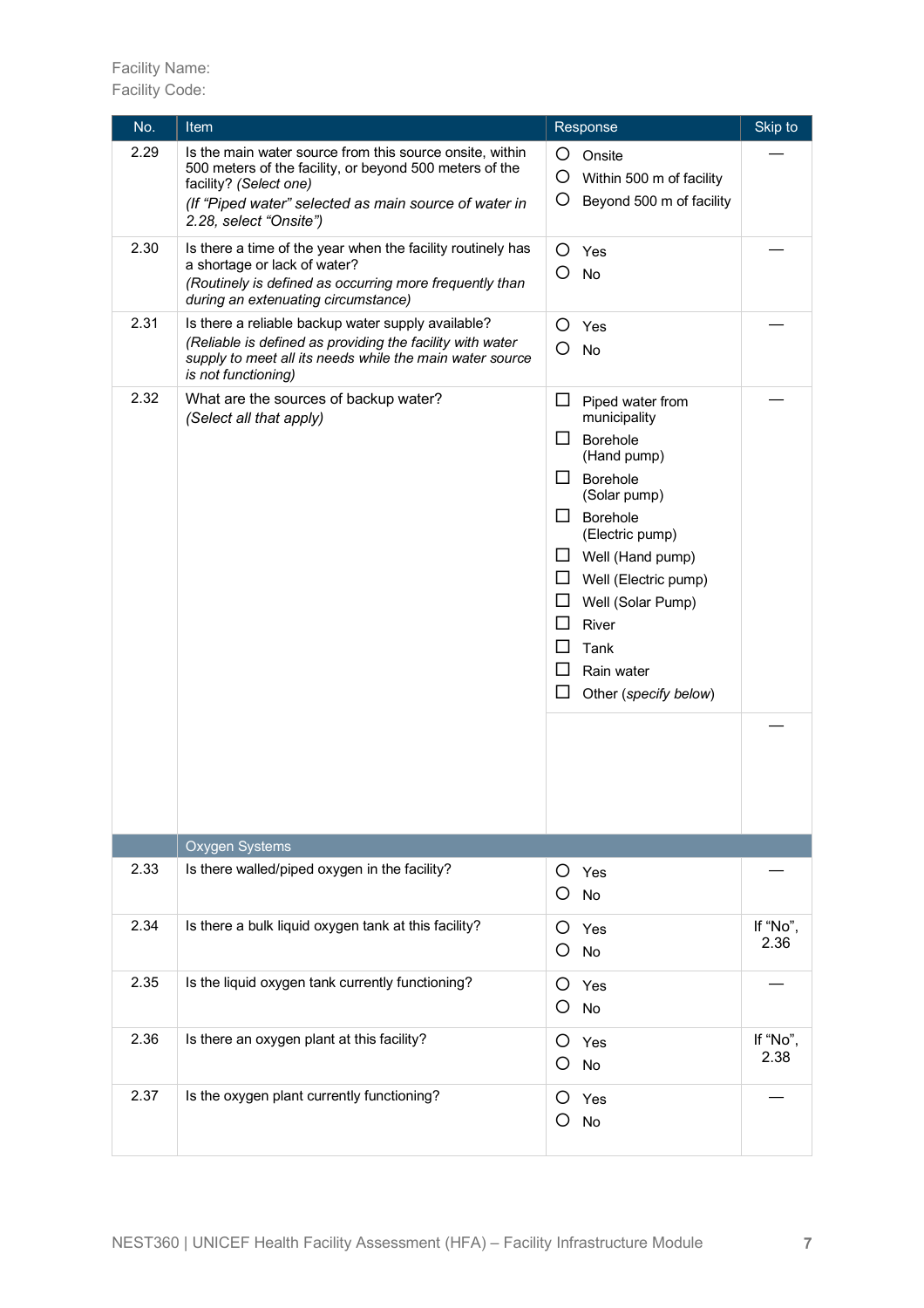Facility Name: Facility Code:

| No.  | <b>Item</b>                                                                                                                                                                                                                      | Response                                                                                                                                                                                                                                                                                                                                      | Skip to          |
|------|----------------------------------------------------------------------------------------------------------------------------------------------------------------------------------------------------------------------------------|-----------------------------------------------------------------------------------------------------------------------------------------------------------------------------------------------------------------------------------------------------------------------------------------------------------------------------------------------|------------------|
| 2.29 | Is the main water source from this source onsite, within<br>500 meters of the facility, or beyond 500 meters of the<br>facility? (Select one)<br>(If "Piped water" selected as main source of water in<br>2.28, select "Onsite") | O<br>Onsite<br>O<br>Within 500 m of facility<br>O<br>Beyond 500 m of facility                                                                                                                                                                                                                                                                 |                  |
| 2.30 | Is there a time of the year when the facility routinely has<br>a shortage or lack of water?<br>(Routinely is defined as occurring more frequently than<br>during an extenuating circumstance)                                    | O<br>Yes<br>O<br>No                                                                                                                                                                                                                                                                                                                           |                  |
| 2.31 | Is there a reliable backup water supply available?<br>(Reliable is defined as providing the facility with water<br>supply to meet all its needs while the main water source<br>is not functioning)                               | O<br>Yes<br>O<br>No                                                                                                                                                                                                                                                                                                                           |                  |
| 2.32 | What are the sources of backup water?<br>(Select all that apply)                                                                                                                                                                 | □<br>Piped water from<br>municipality<br>Borehole<br>⊔<br>(Hand pump)<br>$\mathsf{L}$<br><b>Borehole</b><br>(Solar pump)<br>$\mathsf{L}$<br>Borehole<br>(Electric pump)<br>Well (Hand pump)<br>ப<br>ப<br>Well (Electric pump)<br>$\Box$<br>Well (Solar Pump)<br>□<br>River<br>ப<br>Tank<br>ப<br>Rain water<br>$\Box$<br>Other (specify below) |                  |
|      | Oxygen Systems                                                                                                                                                                                                                   |                                                                                                                                                                                                                                                                                                                                               |                  |
| 2.33 | Is there walled/piped oxygen in the facility?                                                                                                                                                                                    | Yes<br>O<br>O<br>No                                                                                                                                                                                                                                                                                                                           |                  |
| 2.34 | Is there a bulk liquid oxygen tank at this facility?                                                                                                                                                                             | O<br>Yes<br>O<br>No                                                                                                                                                                                                                                                                                                                           | If "No".<br>2.36 |
| 2.35 | Is the liquid oxygen tank currently functioning?                                                                                                                                                                                 | O<br>Yes<br>O<br>No                                                                                                                                                                                                                                                                                                                           |                  |
| 2.36 | Is there an oxygen plant at this facility?                                                                                                                                                                                       | O<br>Yes<br>O<br>No                                                                                                                                                                                                                                                                                                                           | If "No",<br>2.38 |
| 2.37 | Is the oxygen plant currently functioning?                                                                                                                                                                                       | O<br>Yes<br>O<br>No                                                                                                                                                                                                                                                                                                                           |                  |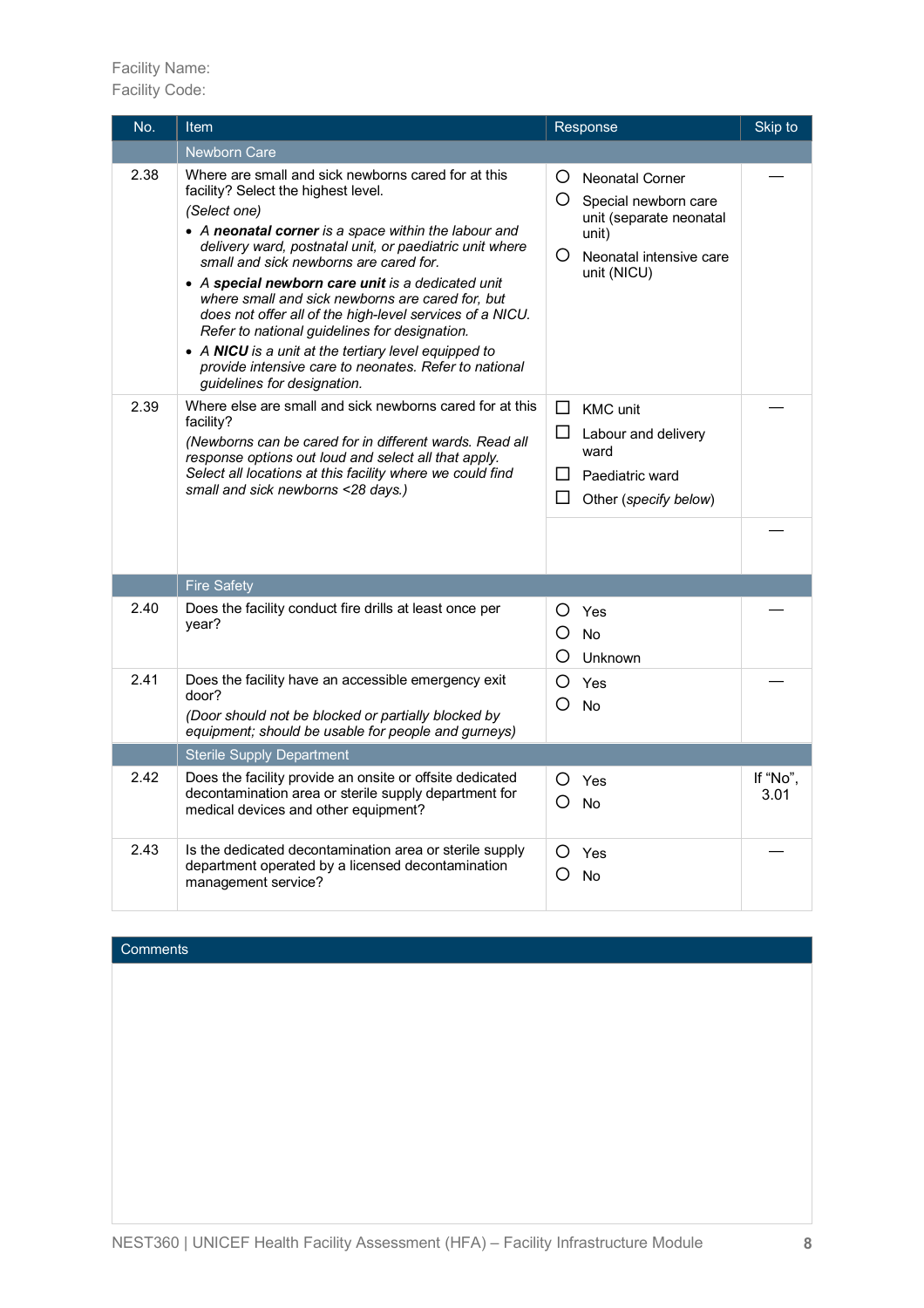### Facility Name:

Facility Code:

| No.  | Item                                                                                                                                                                                                                                                                                                                                                                                                                                                                                                                                                                                                                                          | Response                                                                                                                                | Skip to          |
|------|-----------------------------------------------------------------------------------------------------------------------------------------------------------------------------------------------------------------------------------------------------------------------------------------------------------------------------------------------------------------------------------------------------------------------------------------------------------------------------------------------------------------------------------------------------------------------------------------------------------------------------------------------|-----------------------------------------------------------------------------------------------------------------------------------------|------------------|
|      | <b>Newborn Care</b>                                                                                                                                                                                                                                                                                                                                                                                                                                                                                                                                                                                                                           |                                                                                                                                         |                  |
| 2.38 | Where are small and sick newborns cared for at this<br>facility? Select the highest level.<br>(Select one)<br>• A neonatal corner is a space within the labour and<br>delivery ward, postnatal unit, or paediatric unit where<br>small and sick newborns are cared for.<br>• A special newborn care unit is a dedicated unit<br>where small and sick newborns are cared for, but<br>does not offer all of the high-level services of a NICU.<br>Refer to national guidelines for designation.<br>• A NICU is a unit at the tertiary level equipped to<br>provide intensive care to neonates. Refer to national<br>guidelines for designation. | O<br>Neonatal Corner<br>O Special newborn care<br>unit (separate neonatal<br>unit)<br>$\circ$<br>Neonatal intensive care<br>unit (NICU) |                  |
| 2.39 | Where else are small and sick newborns cared for at this<br>facility?<br>(Newborns can be cared for in different wards. Read all<br>response options out loud and select all that apply.<br>Select all locations at this facility where we could find<br>small and sick newborns <28 days.)                                                                                                                                                                                                                                                                                                                                                   | $\Box$ KMC unit<br>$\Box$ Labour and delivery<br>ward<br>$\Box$<br>Paediatric ward<br>$\Box$<br>Other (specify below)                   |                  |
|      | <b>Fire Safety</b>                                                                                                                                                                                                                                                                                                                                                                                                                                                                                                                                                                                                                            |                                                                                                                                         |                  |
| 2.40 | Does the facility conduct fire drills at least once per<br>year?                                                                                                                                                                                                                                                                                                                                                                                                                                                                                                                                                                              | ∩<br>Yes<br>౧<br>No<br>O<br>Unknown                                                                                                     |                  |
| 2.41 | Does the facility have an accessible emergency exit<br>door?<br>(Door should not be blocked or partially blocked by<br>equipment; should be usable for people and gurneys)                                                                                                                                                                                                                                                                                                                                                                                                                                                                    | O<br>Yes<br>O<br><b>No</b>                                                                                                              |                  |
|      | <b>Sterile Supply Department</b>                                                                                                                                                                                                                                                                                                                                                                                                                                                                                                                                                                                                              |                                                                                                                                         |                  |
| 2.42 | Does the facility provide an onsite or offsite dedicated<br>decontamination area or sterile supply department for<br>medical devices and other equipment?                                                                                                                                                                                                                                                                                                                                                                                                                                                                                     | O<br>Yes<br>O<br><b>No</b>                                                                                                              | If "No",<br>3.01 |
| 2.43 | Is the dedicated decontamination area or sterile supply<br>department operated by a licensed decontamination<br>management service?                                                                                                                                                                                                                                                                                                                                                                                                                                                                                                           | O<br>Yes<br>◯<br>No                                                                                                                     |                  |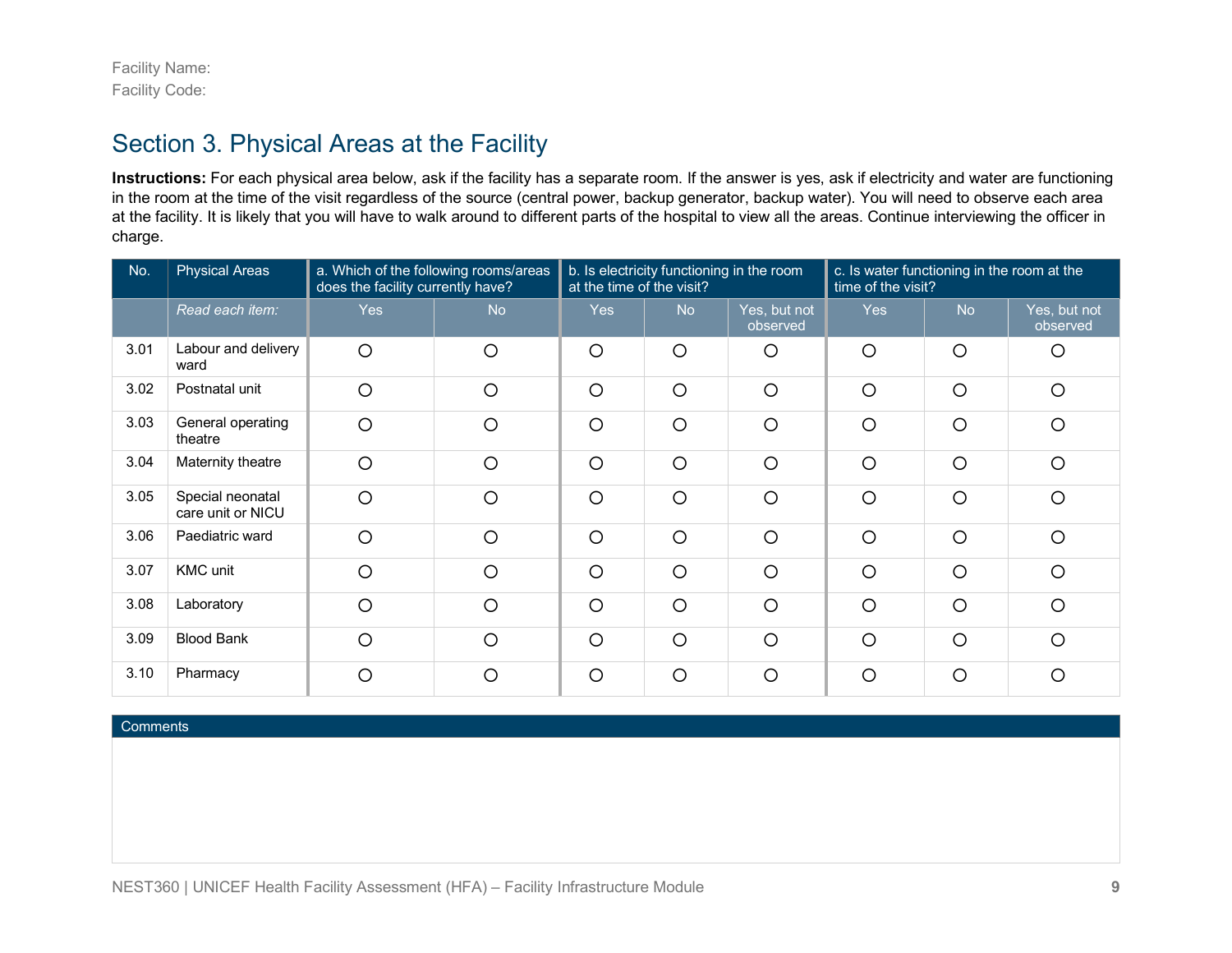Facility Name: Facility Code:

### Section 3. Physical Areas at the Facility

**Instructions:** For each physical area below, ask if the facility has a separate room. If the answer is yes, ask if electricity and water are functioning in the room at the time of the visit regardless of the source (central power, backup generator, backup water). You will need to observe each area at the facility. It is likely that you will have to walk around to different parts of the hospital to view all the areas. Continue interviewing the officer in charge.

| No.  | <b>Physical Areas</b>                 | a. Which of the following rooms/areas<br>does the facility currently have? |           | b. Is electricity functioning in the room<br>at the time of the visit? |           | c. Is water functioning in the room at the<br>time of the visit? |            |           |                          |
|------|---------------------------------------|----------------------------------------------------------------------------|-----------|------------------------------------------------------------------------|-----------|------------------------------------------------------------------|------------|-----------|--------------------------|
|      | Read each item:                       | <b>Yes</b>                                                                 | <b>No</b> | <b>Yes</b>                                                             | <b>No</b> | Yes, but not<br>observed                                         | <b>Yes</b> | <b>No</b> | Yes, but not<br>observed |
| 3.01 | Labour and delivery<br>ward           | $\circ$                                                                    | $\circ$   | $\circ$                                                                | $\circ$   | $\circ$                                                          | $\circ$    | $\circ$   | $\circ$                  |
| 3.02 | Postnatal unit                        | $\circ$                                                                    | $\circ$   | $\circ$                                                                | $\circ$   | $\circ$                                                          | $\circ$    | $\circ$   | $\circ$                  |
| 3.03 | General operating<br>theatre          | $\circ$                                                                    | $\circ$   | $\circ$                                                                | $\circ$   | $\circ$                                                          | $\circ$    | $\circ$   | $\circ$                  |
| 3.04 | Maternity theatre                     | $\circ$                                                                    | $\circ$   | $\circ$                                                                | $\circ$   | $\circ$                                                          | $\circ$    | $\circ$   | $\circ$                  |
| 3.05 | Special neonatal<br>care unit or NICU | $\circ$                                                                    | O         | $\circ$                                                                | $\circ$   | $\circ$                                                          | $\circ$    | $\circ$   | $\circ$                  |
| 3.06 | Paediatric ward                       | $\circ$                                                                    | O         | $\circ$                                                                | $\circ$   | $\circ$                                                          | $\circ$    | $\circ$   | $\circ$                  |
| 3.07 | <b>KMC</b> unit                       | $\circ$                                                                    | O         | $\circ$                                                                | $\circ$   | $\circ$                                                          | $\circ$    | $\circ$   | $\circ$                  |
| 3.08 | Laboratory                            | $\circ$                                                                    | $\circ$   | $\circ$                                                                | $\circ$   | $\circ$                                                          | $\circ$    | $\circ$   | $\circ$                  |
| 3.09 | <b>Blood Bank</b>                     | $\circ$                                                                    | $\circ$   | $\circ$                                                                | $\circ$   | $\circ$                                                          | $\circ$    | $\circ$   | $\circ$                  |
| 3.10 | Pharmacy                              | $\circ$                                                                    | ◯         | $\circ$                                                                | $\circ$   | $\circ$                                                          | $\circ$    | $\circ$   | $\circ$                  |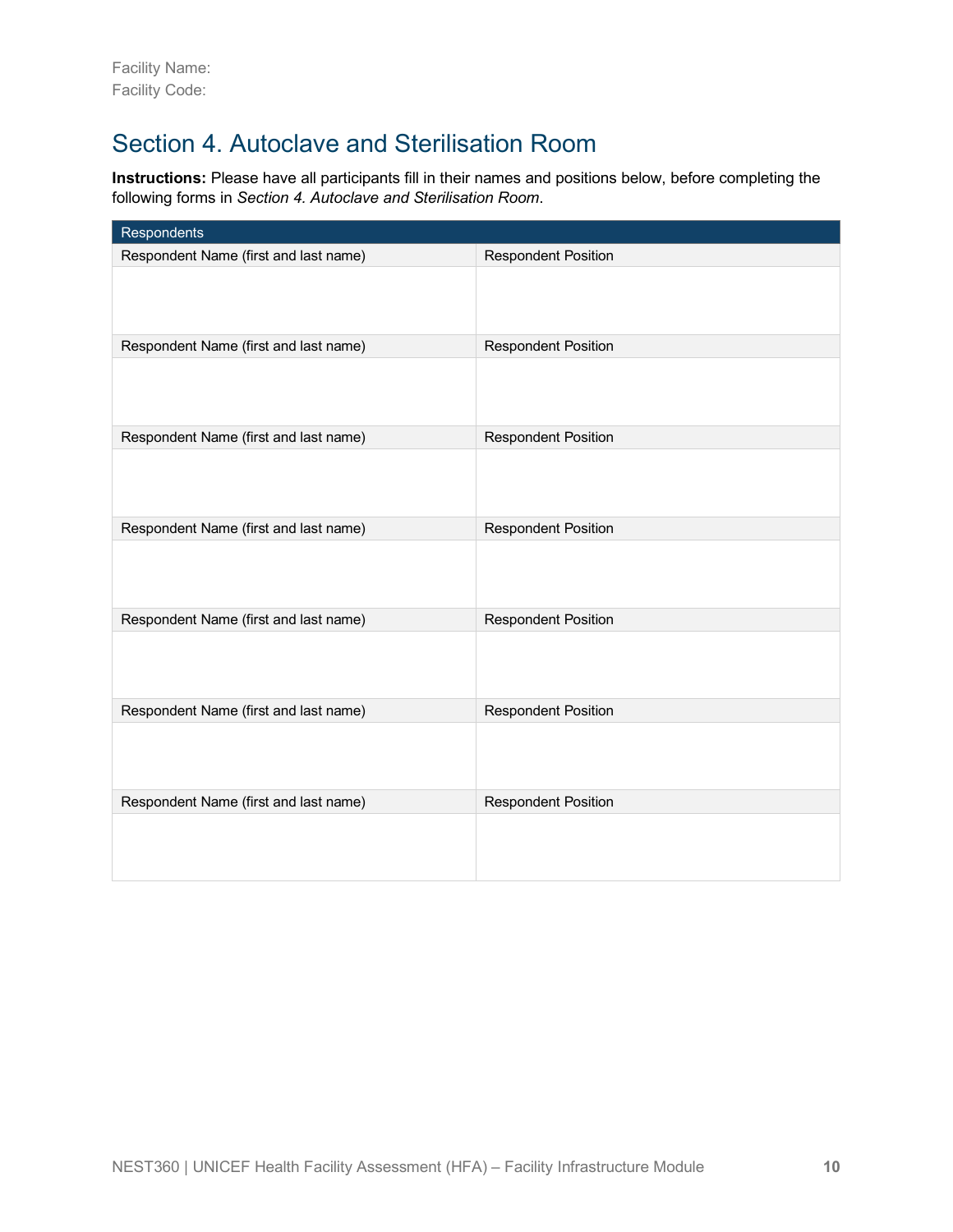### Section 4. Autoclave and Sterilisation Room

**Instructions:** Please have all participants fill in their names and positions below, before completing the following forms in *Section 4. Autoclave and Sterilisation Room*.

| Respondents                           |                            |
|---------------------------------------|----------------------------|
| Respondent Name (first and last name) | <b>Respondent Position</b> |
|                                       |                            |
| Respondent Name (first and last name) | <b>Respondent Position</b> |
|                                       |                            |
| Respondent Name (first and last name) | <b>Respondent Position</b> |
|                                       |                            |
| Respondent Name (first and last name) | <b>Respondent Position</b> |
|                                       |                            |
| Respondent Name (first and last name) | <b>Respondent Position</b> |
|                                       |                            |
| Respondent Name (first and last name) | <b>Respondent Position</b> |
|                                       |                            |
| Respondent Name (first and last name) | <b>Respondent Position</b> |
|                                       |                            |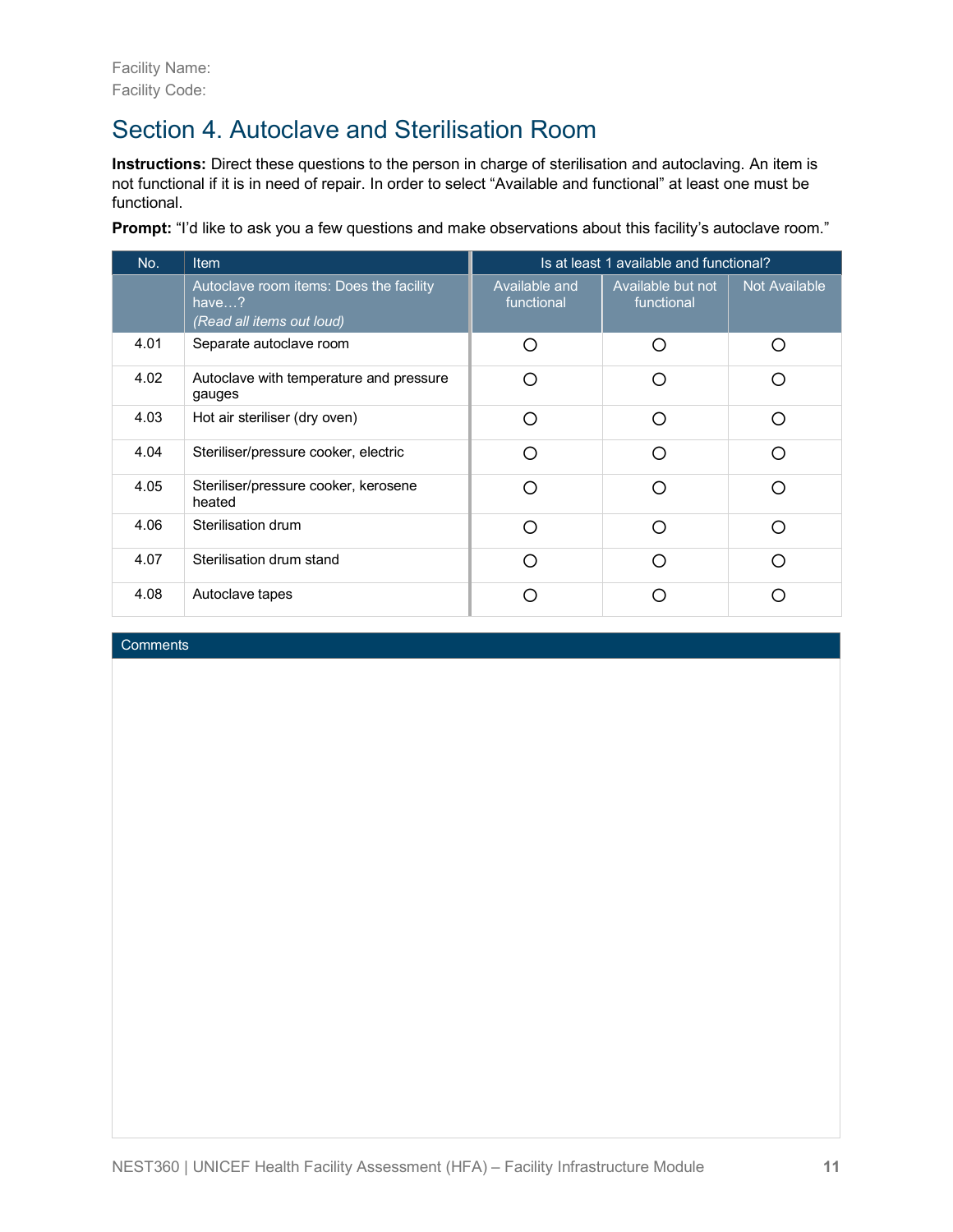### Section 4. Autoclave and Sterilisation Room

**Instructions:** Direct these questions to the person in charge of sterilisation and autoclaving. An item is not functional if it is in need of repair. In order to select "Available and functional" at least one must be functional.

**Prompt:** "I'd like to ask you a few questions and make observations about this facility's autoclave room."

| No.  | <b>Item</b>                                                                             | Is at least 1 available and functional? |                                 |                      |  |  |
|------|-----------------------------------------------------------------------------------------|-----------------------------------------|---------------------------------|----------------------|--|--|
|      | Autoclave room items: Does the facility<br>have $\ldots$ ?<br>(Read all items out loud) | Available and<br>functional             | Available but not<br>functional | <b>Not Available</b> |  |  |
| 4.01 | Separate autoclave room                                                                 | ∩                                       | ∩                               | ∩                    |  |  |
| 4.02 | Autoclave with temperature and pressure<br>gauges                                       | ∩                                       | ∩                               | ∩                    |  |  |
| 4.03 | Hot air steriliser (dry oven)                                                           | ∩                                       | ∩                               | ∩                    |  |  |
| 4.04 | Steriliser/pressure cooker, electric                                                    | ∩                                       | ∩                               | ∩                    |  |  |
| 4.05 | Steriliser/pressure cooker, kerosene<br>heated                                          | ∩                                       | ∩                               | ∩                    |  |  |
| 4.06 | Sterilisation drum                                                                      | ∩                                       | ∩                               | ∩                    |  |  |
| 4.07 | Sterilisation drum stand                                                                | Ω                                       | ∩                               | ∩                    |  |  |
| 4.08 | Autoclave tapes                                                                         |                                         |                                 |                      |  |  |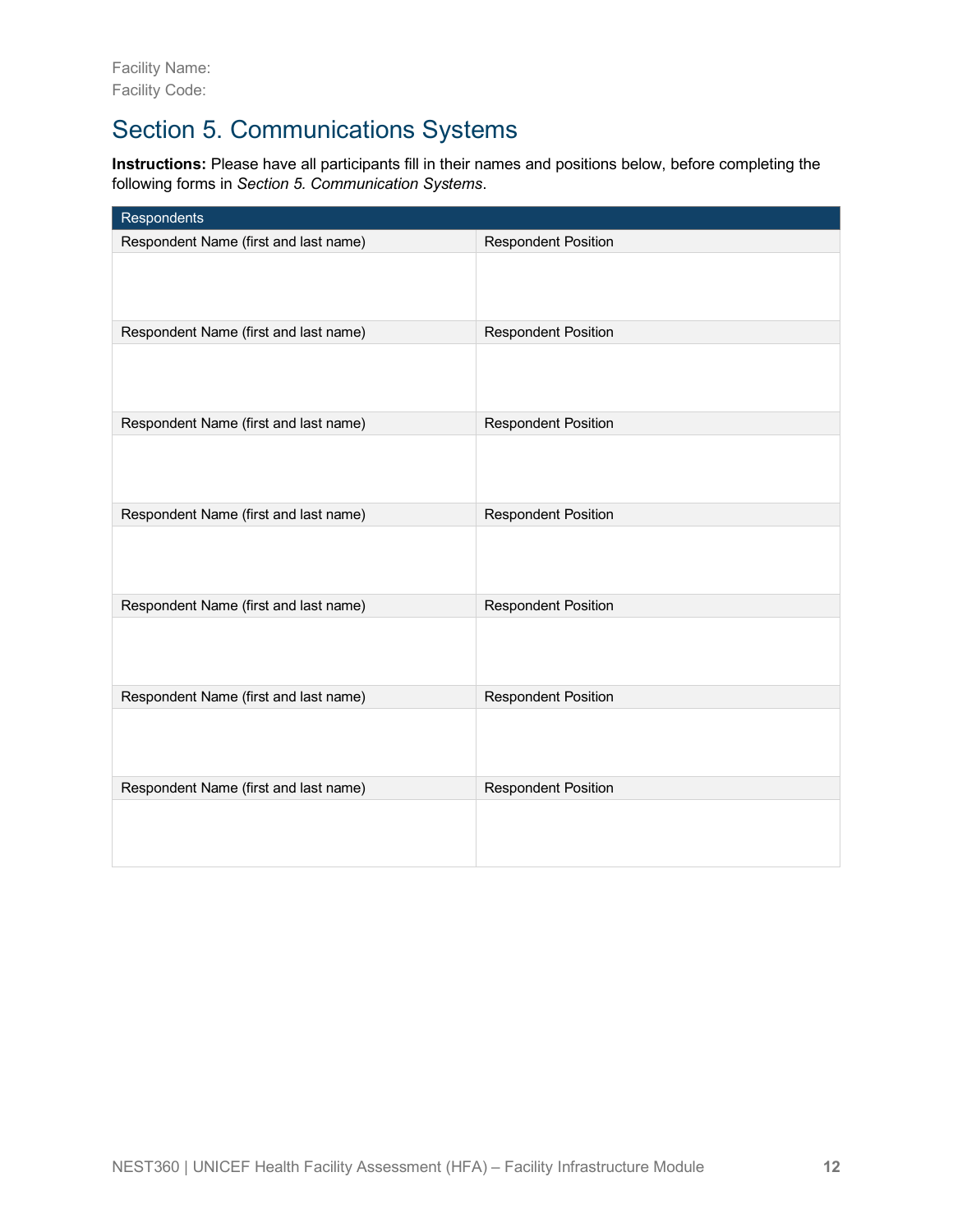# Section 5. Communications Systems

**Instructions:** Please have all participants fill in their names and positions below, before completing the following forms in *Section 5. Communication Systems*.

| Respondents                           |                            |
|---------------------------------------|----------------------------|
| Respondent Name (first and last name) | <b>Respondent Position</b> |
|                                       |                            |
| Respondent Name (first and last name) | <b>Respondent Position</b> |
|                                       |                            |
| Respondent Name (first and last name) | <b>Respondent Position</b> |
|                                       |                            |
| Respondent Name (first and last name) | <b>Respondent Position</b> |
|                                       |                            |
| Respondent Name (first and last name) | <b>Respondent Position</b> |
|                                       |                            |
| Respondent Name (first and last name) | <b>Respondent Position</b> |
|                                       |                            |
| Respondent Name (first and last name) | <b>Respondent Position</b> |
|                                       |                            |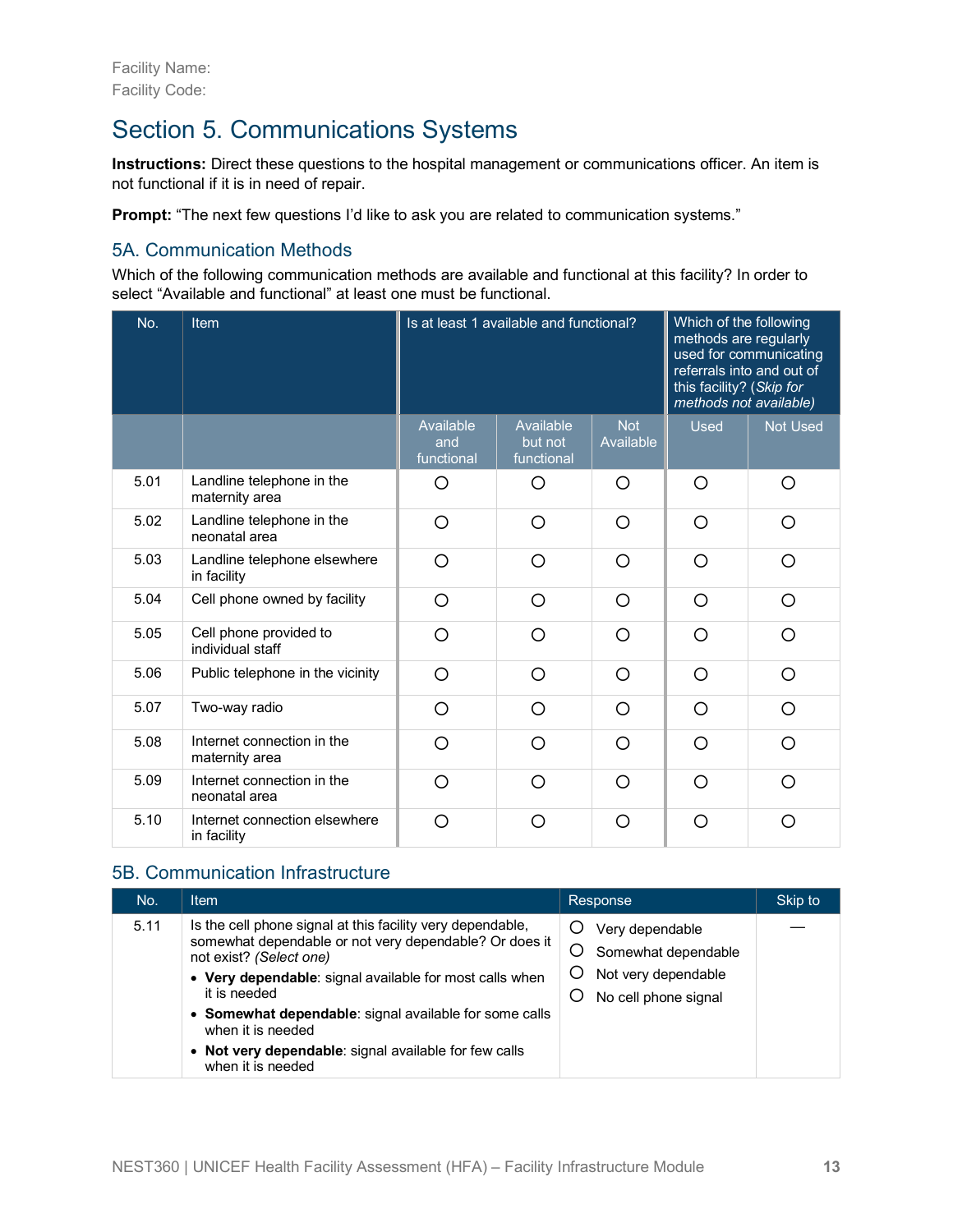### Section 5. Communications Systems

**Instructions:** Direct these questions to the hospital management or communications officer. An item is not functional if it is in need of repair.

**Prompt:** "The next few questions I'd like to ask you are related to communication systems."

#### 5A. Communication Methods

Which of the following communication methods are available and functional at this facility? In order to select "Available and functional" at least one must be functional.

| No.  | <b>Item</b>                                  |                                | Is at least 1 available and functional? | Which of the following<br>methods are regularly<br>referrals into and out of<br>this facility? (Skip for<br>methods not available) | used for communicating |                 |
|------|----------------------------------------------|--------------------------------|-----------------------------------------|------------------------------------------------------------------------------------------------------------------------------------|------------------------|-----------------|
|      |                                              | Available<br>and<br>functional | Available<br>but not<br>functional      | <b>Not</b><br>Available                                                                                                            | <b>Used</b>            | <b>Not Used</b> |
| 5.01 | Landline telephone in the<br>maternity area  | O                              | O                                       | O                                                                                                                                  | O                      | O               |
| 5.02 | Landline telephone in the<br>neonatal area   | O                              | O                                       | O                                                                                                                                  | O                      | O               |
| 5.03 | Landline telephone elsewhere<br>in facility  | O                              | O                                       | O                                                                                                                                  | $\circ$                | O               |
| 5.04 | Cell phone owned by facility                 | O                              | O                                       | ◯                                                                                                                                  | O                      | O               |
| 5.05 | Cell phone provided to<br>individual staff   | ∩                              | ∩                                       | ∩                                                                                                                                  | ∩                      | O               |
| 5.06 | Public telephone in the vicinity             | O                              | ∩                                       | ◯                                                                                                                                  | O                      | O               |
| 5.07 | Two-way radio                                | O                              | O                                       | O                                                                                                                                  | O                      | O               |
| 5.08 | Internet connection in the<br>maternity area | ∩                              | ∩                                       | ◯                                                                                                                                  | ∩                      | ◯               |
| 5.09 | Internet connection in the<br>neonatal area  | O                              | ∩                                       | O                                                                                                                                  | O                      | O               |
| 5.10 | Internet connection elsewhere<br>in facility | ∩                              | ∩                                       | Ω                                                                                                                                  | O                      | ∩               |

#### 5B. Communication Infrastructure

| No.  | <b>Item</b>                                                                                                                                                                                                                                                                                                                                                                             | Response                                                                              | Skip to |
|------|-----------------------------------------------------------------------------------------------------------------------------------------------------------------------------------------------------------------------------------------------------------------------------------------------------------------------------------------------------------------------------------------|---------------------------------------------------------------------------------------|---------|
| 5.11 | Is the cell phone signal at this facility very dependable,<br>somewhat dependable or not very dependable? Or does it<br>not exist? (Select one)<br>• Very dependable: signal available for most calls when<br>it is needed<br>• Somewhat dependable: signal available for some calls<br>when it is needed<br>• Not very dependable: signal available for few calls<br>when it is needed | Very dependable<br>Somewhat dependable<br>Not very dependable<br>No cell phone signal |         |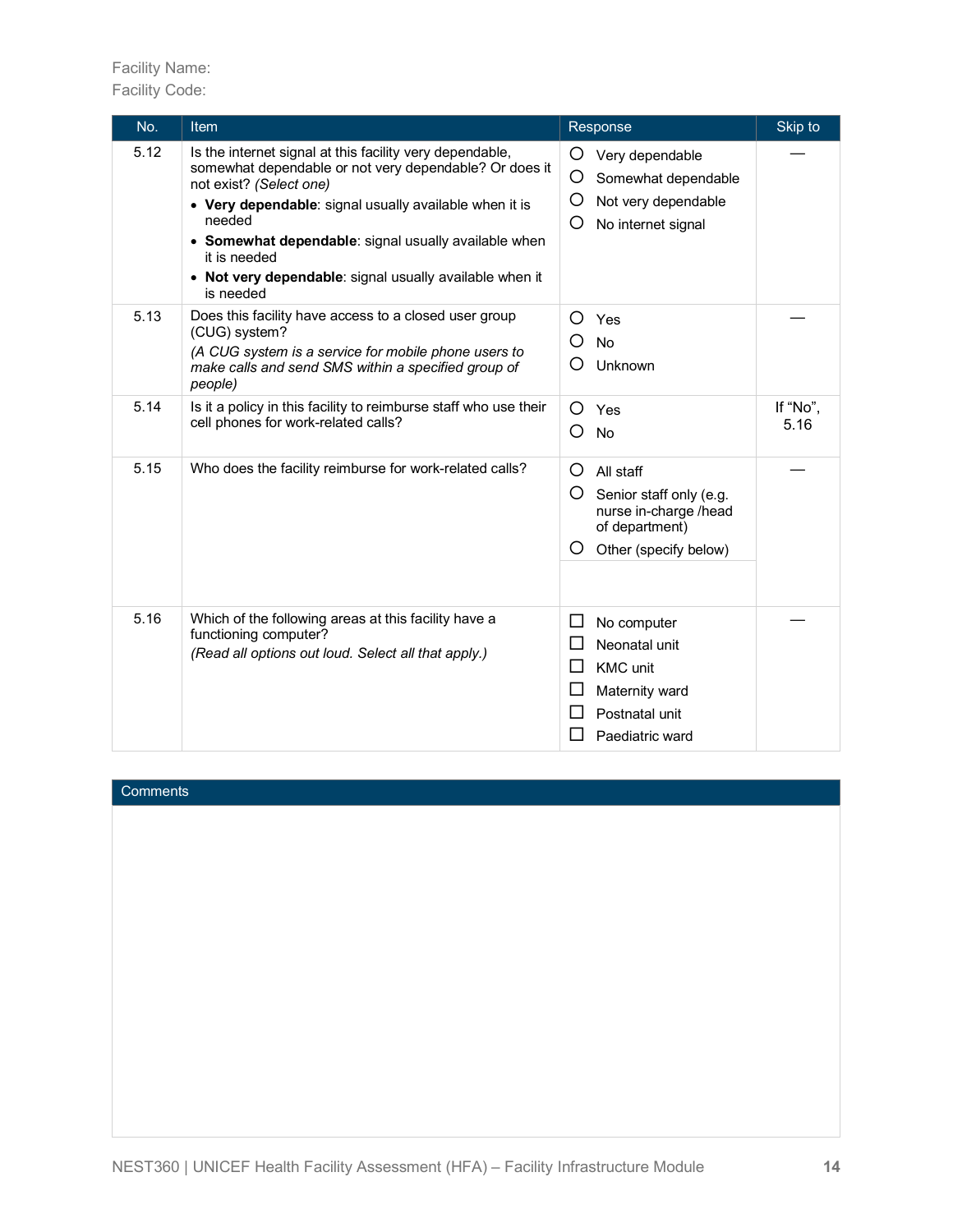#### Facility Name: Facility Code:

| No.  | Item                                                                                                                                                                                                                                                                                                                                                              | Response                                                                                                                    | Skip to          |
|------|-------------------------------------------------------------------------------------------------------------------------------------------------------------------------------------------------------------------------------------------------------------------------------------------------------------------------------------------------------------------|-----------------------------------------------------------------------------------------------------------------------------|------------------|
| 5.12 | Is the internet signal at this facility very dependable,<br>somewhat dependable or not very dependable? Or does it<br>not exist? (Select one)<br>• Very dependable: signal usually available when it is<br>needed<br>• Somewhat dependable: signal usually available when<br>it is needed<br>• Not very dependable: signal usually available when it<br>is needed | O<br>Very dependable<br>O<br>Somewhat dependable<br>Ο<br>Not very dependable<br>O<br>No internet signal                     |                  |
| 5.13 | Does this facility have access to a closed user group<br>(CUG) system?<br>(A CUG system is a service for mobile phone users to<br>make calls and send SMS within a specified group of<br>people)                                                                                                                                                                  | Ω<br>Yes<br>◯<br>No<br>Unknown<br>( )                                                                                       |                  |
| 5.14 | Is it a policy in this facility to reimburse staff who use their<br>cell phones for work-related calls?                                                                                                                                                                                                                                                           | O<br>Yes<br>Ω<br>No                                                                                                         | If "No",<br>5.16 |
| 5.15 | Who does the facility reimburse for work-related calls?                                                                                                                                                                                                                                                                                                           | O<br>All staff<br>O<br>Senior staff only (e.g.<br>nurse in-charge /head<br>of department)<br>O<br>Other (specify below)     |                  |
| 5.16 | Which of the following areas at this facility have a<br>functioning computer?<br>(Read all options out loud. Select all that apply.)                                                                                                                                                                                                                              | No computer<br>⊔<br>Neonatal unit<br>$\Box$<br>ΙI<br><b>KMC</b> unit<br>Maternity ward<br>Postnatal unit<br>Paediatric ward |                  |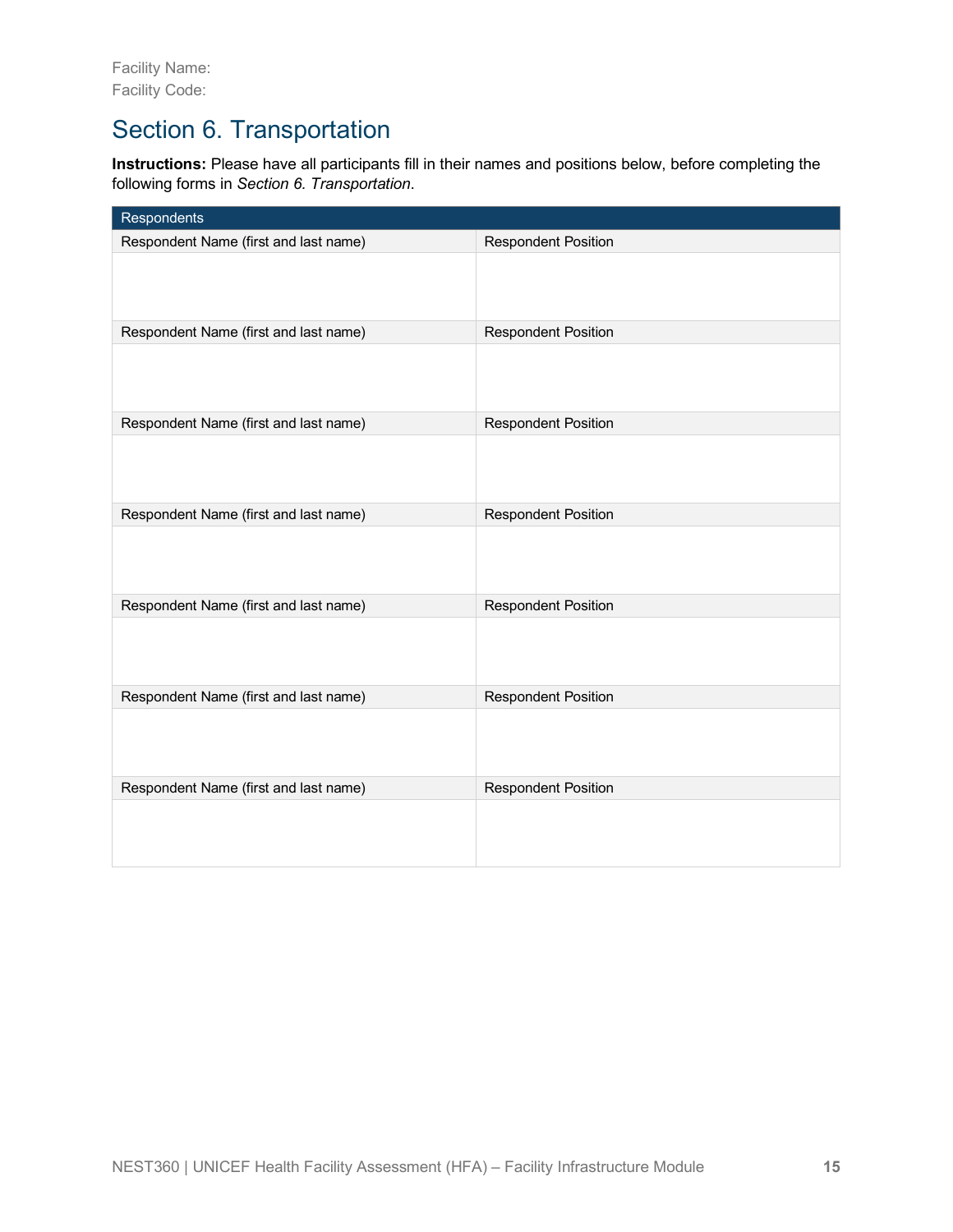# Section 6. Transportation

**Instructions:** Please have all participants fill in their names and positions below, before completing the following forms in *Section 6. Transportation*.

| Respondents                           |                            |
|---------------------------------------|----------------------------|
| Respondent Name (first and last name) | <b>Respondent Position</b> |
|                                       |                            |
| Respondent Name (first and last name) | <b>Respondent Position</b> |
|                                       |                            |
| Respondent Name (first and last name) | <b>Respondent Position</b> |
|                                       |                            |
| Respondent Name (first and last name) | <b>Respondent Position</b> |
|                                       |                            |
| Respondent Name (first and last name) | <b>Respondent Position</b> |
|                                       |                            |
| Respondent Name (first and last name) | <b>Respondent Position</b> |
|                                       |                            |
| Respondent Name (first and last name) | <b>Respondent Position</b> |
|                                       |                            |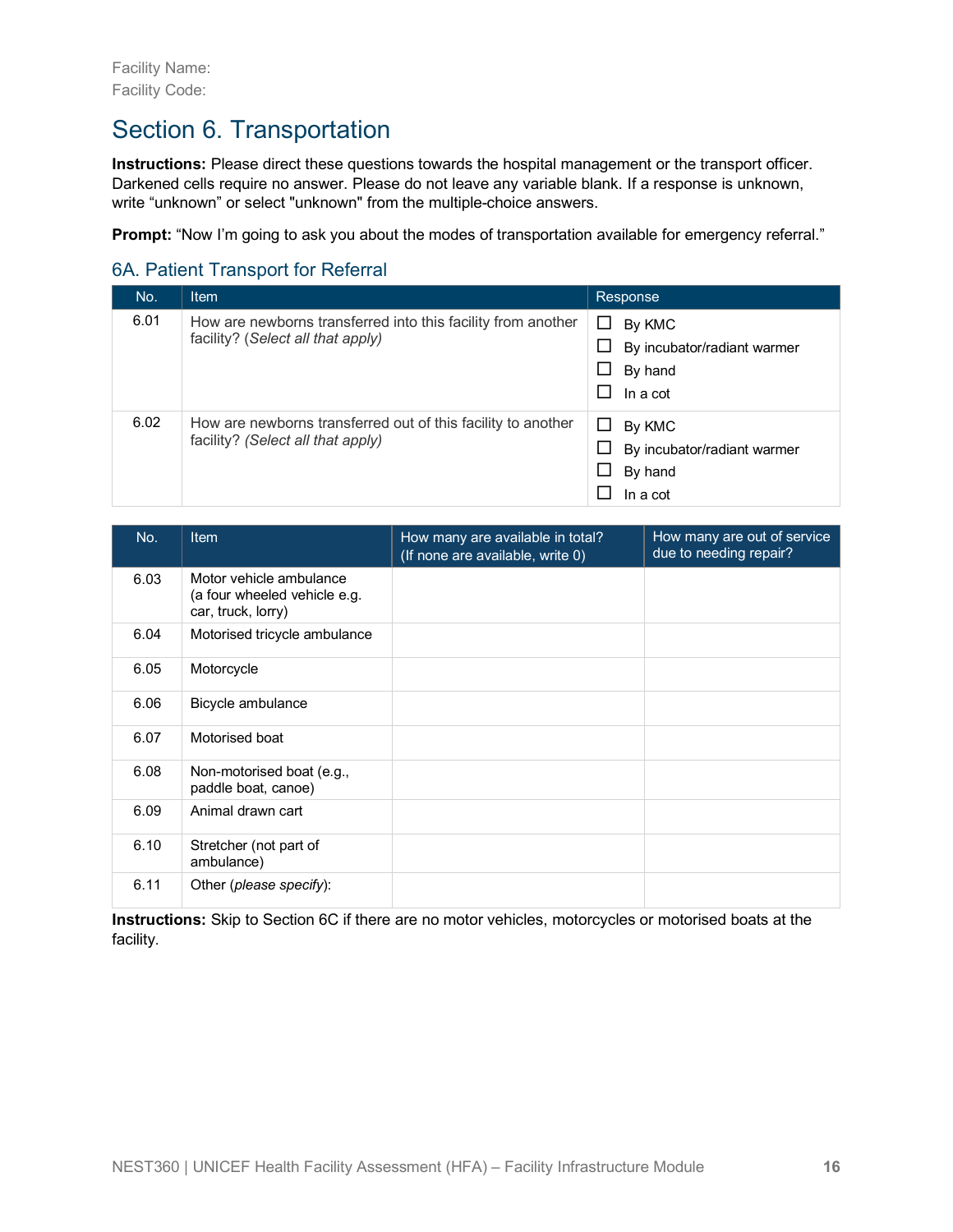### Section 6. Transportation

**Instructions:** Please direct these questions towards the hospital management or the transport officer. Darkened cells require no answer. Please do not leave any variable blank. If a response is unknown, write "unknown" or select "unknown" from the multiple-choice answers.

**Prompt:** "Now I'm going to ask you about the modes of transportation available for emergency referral."

#### 6A. Patient Transport for Referral

| No.  | <b>Item</b>                                                                                       | Response                                                                     |
|------|---------------------------------------------------------------------------------------------------|------------------------------------------------------------------------------|
| 6.01 | How are newborns transferred into this facility from another<br>facility? (Select all that apply) | □<br>By KMC<br>By incubator/radiant warmer<br>By hand<br>ப<br>ΙI<br>In a cot |
| 6.02 | How are newborns transferred out of this facility to another<br>facility? (Select all that apply) | By KMC<br>ப<br>By incubator/radiant warmer<br>By hand<br>ப<br>In a cot       |

| No.  | <b>Item</b>                                                                   | How many are available in total?<br>(If none are available, write 0) | How many are out of service<br>due to needing repair? |
|------|-------------------------------------------------------------------------------|----------------------------------------------------------------------|-------------------------------------------------------|
| 6.03 | Motor vehicle ambulance<br>(a four wheeled vehicle e.g.<br>car, truck, lorry) |                                                                      |                                                       |
| 6.04 | Motorised tricycle ambulance                                                  |                                                                      |                                                       |
| 6.05 | Motorcycle                                                                    |                                                                      |                                                       |
| 6.06 | Bicycle ambulance                                                             |                                                                      |                                                       |
| 6.07 | Motorised boat                                                                |                                                                      |                                                       |
| 6.08 | Non-motorised boat (e.g.,<br>paddle boat, canoe)                              |                                                                      |                                                       |
| 6.09 | Animal drawn cart                                                             |                                                                      |                                                       |
| 6.10 | Stretcher (not part of<br>ambulance)                                          |                                                                      |                                                       |
| 6.11 | Other (please specify):                                                       |                                                                      |                                                       |

**Instructions:** Skip to Section 6C if there are no motor vehicles, motorcycles or motorised boats at the facility*.*